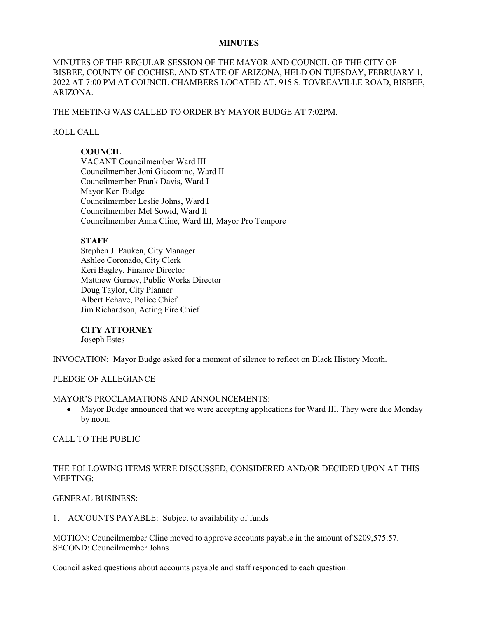### **MINUTES**

MINUTES OF THE REGULAR SESSION OF THE MAYOR AND COUNCIL OF THE CITY OF BISBEE, COUNTY OF COCHISE, AND STATE OF ARIZONA, HELD ON TUESDAY, FEBRUARY 1, 2022 AT 7:00 PM AT COUNCIL CHAMBERS LOCATED AT, 915 S. TOVREAVILLE ROAD, BISBEE, ARIZONA.

THE MEETING WAS CALLED TO ORDER BY MAYOR BUDGE AT 7:02PM.

### ROLL CALL

## **COUNCIL**

VACANT Councilmember Ward III Councilmember Joni Giacomino, Ward II Councilmember Frank Davis, Ward I Mayor Ken Budge Councilmember Leslie Johns, Ward I Councilmember Mel Sowid, Ward II Councilmember Anna Cline, Ward III, Mayor Pro Tempore

## **STAFF**

Stephen J. Pauken, City Manager Ashlee Coronado, City Clerk Keri Bagley, Finance Director Matthew Gurney, Public Works Director Doug Taylor, City Planner Albert Echave, Police Chief Jim Richardson, Acting Fire Chief

### **CITY ATTORNEY**

Joseph Estes

INVOCATION: Mayor Budge asked for a moment of silence to reflect on Black History Month.

# PLEDGE OF ALLEGIANCE

### MAYOR'S PROCLAMATIONS AND ANNOUNCEMENTS:

• Mayor Budge announced that we were accepting applications for Ward III. They were due Monday by noon.

CALL TO THE PUBLIC

# THE FOLLOWING ITEMS WERE DISCUSSED, CONSIDERED AND/OR DECIDED UPON AT THIS MEETING:

### GENERAL BUSINESS:

### 1. ACCOUNTS PAYABLE: Subject to availability of funds

MOTION: Councilmember Cline moved to approve accounts payable in the amount of \$209,575.57. SECOND: Councilmember Johns

Council asked questions about accounts payable and staff responded to each question.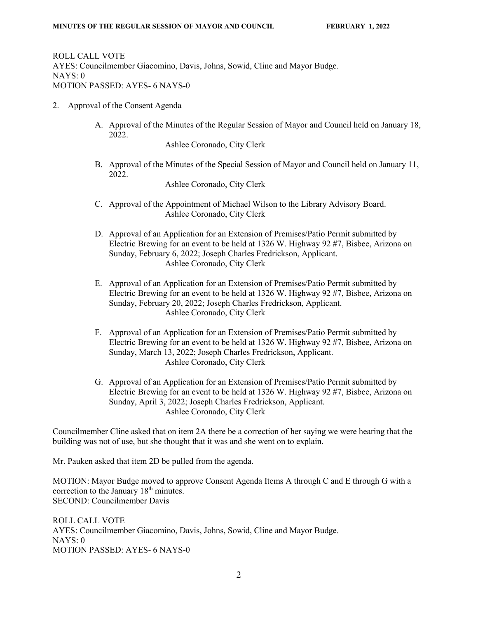ROLL CALL VOTE AYES: Councilmember Giacomino, Davis, Johns, Sowid, Cline and Mayor Budge. NAYS: 0 MOTION PASSED: AYES- 6 NAYS-0

- 2. Approval of the Consent Agenda
	- A. Approval of the Minutes of the Regular Session of Mayor and Council held on January 18, 2022.

Ashlee Coronado, City Clerk

B. Approval of the Minutes of the Special Session of Mayor and Council held on January 11, 2022.

Ashlee Coronado, City Clerk

- C. Approval of the Appointment of Michael Wilson to the Library Advisory Board. Ashlee Coronado, City Clerk
- D. Approval of an Application for an Extension of Premises/Patio Permit submitted by Electric Brewing for an event to be held at 1326 W. Highway 92 #7, Bisbee, Arizona on Sunday, February 6, 2022; Joseph Charles Fredrickson, Applicant. Ashlee Coronado, City Clerk
- E. Approval of an Application for an Extension of Premises/Patio Permit submitted by Electric Brewing for an event to be held at 1326 W. Highway 92 #7, Bisbee, Arizona on Sunday, February 20, 2022; Joseph Charles Fredrickson, Applicant. Ashlee Coronado, City Clerk
- F. Approval of an Application for an Extension of Premises/Patio Permit submitted by Electric Brewing for an event to be held at 1326 W. Highway 92 #7, Bisbee, Arizona on Sunday, March 13, 2022; Joseph Charles Fredrickson, Applicant. Ashlee Coronado, City Clerk
- G. Approval of an Application for an Extension of Premises/Patio Permit submitted by Electric Brewing for an event to be held at 1326 W. Highway 92 #7, Bisbee, Arizona on Sunday, April 3, 2022; Joseph Charles Fredrickson, Applicant. Ashlee Coronado, City Clerk

Councilmember Cline asked that on item 2A there be a correction of her saying we were hearing that the building was not of use, but she thought that it was and she went on to explain.

Mr. Pauken asked that item 2D be pulled from the agenda.

MOTION: Mayor Budge moved to approve Consent Agenda Items A through C and E through G with a correction to the January 18<sup>th</sup> minutes. SECOND: Councilmember Davis

ROLL CALL VOTE AYES: Councilmember Giacomino, Davis, Johns, Sowid, Cline and Mayor Budge. NAYS: 0 MOTION PASSED: AYES- 6 NAYS-0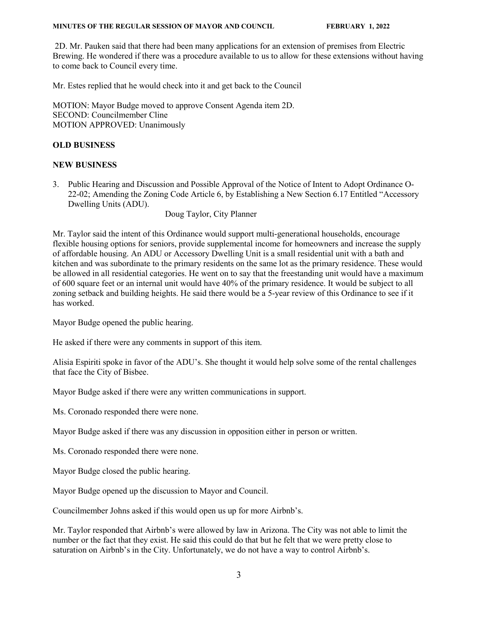#### **MINUTES OF THE REGULAR SESSION OF MAYOR AND COUNCIL FEBRUARY 1, 2022**

2D. Mr. Pauken said that there had been many applications for an extension of premises from Electric Brewing. He wondered if there was a procedure available to us to allow for these extensions without having to come back to Council every time.

Mr. Estes replied that he would check into it and get back to the Council

MOTION: Mayor Budge moved to approve Consent Agenda item 2D. SECOND: Councilmember Cline MOTION APPROVED: Unanimously

### **OLD BUSINESS**

### **NEW BUSINESS**

3. Public Hearing and Discussion and Possible Approval of the Notice of Intent to Adopt Ordinance O-22-02; Amending the Zoning Code Article 6, by Establishing a New Section 6.17 Entitled "Accessory Dwelling Units (ADU).

Doug Taylor, City Planner

Mr. Taylor said the intent of this Ordinance would support multi-generational households, encourage flexible housing options for seniors, provide supplemental income for homeowners and increase the supply of affordable housing. An ADU or Accessory Dwelling Unit is a small residential unit with a bath and kitchen and was subordinate to the primary residents on the same lot as the primary residence. These would be allowed in all residential categories. He went on to say that the freestanding unit would have a maximum of 600 square feet or an internal unit would have 40% of the primary residence. It would be subject to all zoning setback and building heights. He said there would be a 5-year review of this Ordinance to see if it has worked.

Mayor Budge opened the public hearing.

He asked if there were any comments in support of this item.

Alisia Espiriti spoke in favor of the ADU's. She thought it would help solve some of the rental challenges that face the City of Bisbee.

Mayor Budge asked if there were any written communications in support.

Ms. Coronado responded there were none.

Mayor Budge asked if there was any discussion in opposition either in person or written.

Ms. Coronado responded there were none.

Mayor Budge closed the public hearing.

Mayor Budge opened up the discussion to Mayor and Council.

Councilmember Johns asked if this would open us up for more Airbnb's.

Mr. Taylor responded that Airbnb's were allowed by law in Arizona. The City was not able to limit the number or the fact that they exist. He said this could do that but he felt that we were pretty close to saturation on Airbnb's in the City. Unfortunately, we do not have a way to control Airbnb's.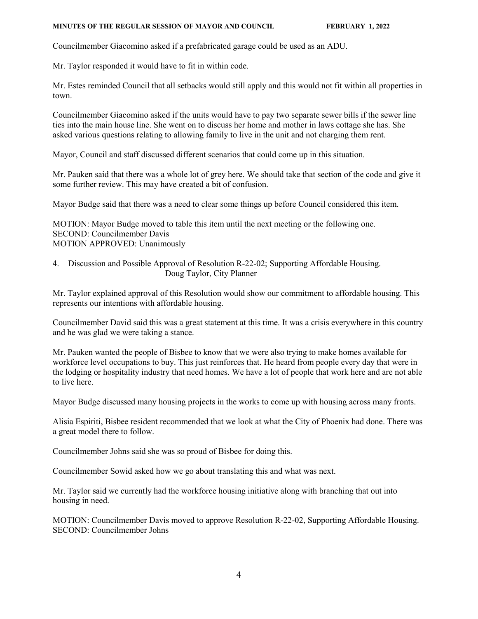#### **MINUTES OF THE REGULAR SESSION OF MAYOR AND COUNCIL FEBRUARY 1, 2022**

Councilmember Giacomino asked if a prefabricated garage could be used as an ADU.

Mr. Taylor responded it would have to fit in within code.

Mr. Estes reminded Council that all setbacks would still apply and this would not fit within all properties in town.

Councilmember Giacomino asked if the units would have to pay two separate sewer bills if the sewer line ties into the main house line. She went on to discuss her home and mother in laws cottage she has. She asked various questions relating to allowing family to live in the unit and not charging them rent.

Mayor, Council and staff discussed different scenarios that could come up in this situation.

Mr. Pauken said that there was a whole lot of grey here. We should take that section of the code and give it some further review. This may have created a bit of confusion.

Mayor Budge said that there was a need to clear some things up before Council considered this item.

MOTION: Mayor Budge moved to table this item until the next meeting or the following one. SECOND: Councilmember Davis MOTION APPROVED: Unanimously

4. Discussion and Possible Approval of Resolution R-22-02; Supporting Affordable Housing. Doug Taylor, City Planner

Mr. Taylor explained approval of this Resolution would show our commitment to affordable housing. This represents our intentions with affordable housing.

Councilmember David said this was a great statement at this time. It was a crisis everywhere in this country and he was glad we were taking a stance.

Mr. Pauken wanted the people of Bisbee to know that we were also trying to make homes available for workforce level occupations to buy. This just reinforces that. He heard from people every day that were in the lodging or hospitality industry that need homes. We have a lot of people that work here and are not able to live here.

Mayor Budge discussed many housing projects in the works to come up with housing across many fronts.

Alisia Espiriti, Bisbee resident recommended that we look at what the City of Phoenix had done. There was a great model there to follow.

Councilmember Johns said she was so proud of Bisbee for doing this.

Councilmember Sowid asked how we go about translating this and what was next.

Mr. Taylor said we currently had the workforce housing initiative along with branching that out into housing in need.

MOTION: Councilmember Davis moved to approve Resolution R-22-02, Supporting Affordable Housing. SECOND: Councilmember Johns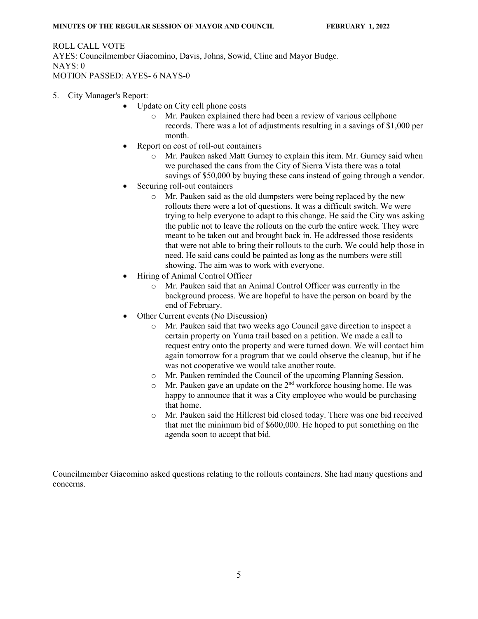ROLL CALL VOTE AYES: Councilmember Giacomino, Davis, Johns, Sowid, Cline and Mayor Budge. NAYS: 0 MOTION PASSED: AYES- 6 NAYS-0

- 5. City Manager's Report:
	- Update on City cell phone costs
		- o Mr. Pauken explained there had been a review of various cellphone records. There was a lot of adjustments resulting in a savings of \$1,000 per month.
	- Report on cost of roll-out containers
		- o Mr. Pauken asked Matt Gurney to explain this item. Mr. Gurney said when we purchased the cans from the City of Sierra Vista there was a total savings of \$50,000 by buying these cans instead of going through a vendor.
	- Securing roll-out containers
		- o Mr. Pauken said as the old dumpsters were being replaced by the new rollouts there were a lot of questions. It was a difficult switch. We were trying to help everyone to adapt to this change. He said the City was asking the public not to leave the rollouts on the curb the entire week. They were meant to be taken out and brought back in. He addressed those residents that were not able to bring their rollouts to the curb. We could help those in need. He said cans could be painted as long as the numbers were still showing. The aim was to work with everyone.
	- Hiring of Animal Control Officer
		- o Mr. Pauken said that an Animal Control Officer was currently in the background process. We are hopeful to have the person on board by the end of February.
	- Other Current events (No Discussion)
		- o Mr. Pauken said that two weeks ago Council gave direction to inspect a certain property on Yuma trail based on a petition. We made a call to request entry onto the property and were turned down. We will contact him again tomorrow for a program that we could observe the cleanup, but if he was not cooperative we would take another route.
		- o Mr. Pauken reminded the Council of the upcoming Planning Session.
		- $\circ$  Mr. Pauken gave an update on the 2<sup>nd</sup> workforce housing home. He was happy to announce that it was a City employee who would be purchasing that home.
		- o Mr. Pauken said the Hillcrest bid closed today. There was one bid received that met the minimum bid of \$600,000. He hoped to put something on the agenda soon to accept that bid.

Councilmember Giacomino asked questions relating to the rollouts containers. She had many questions and concerns.